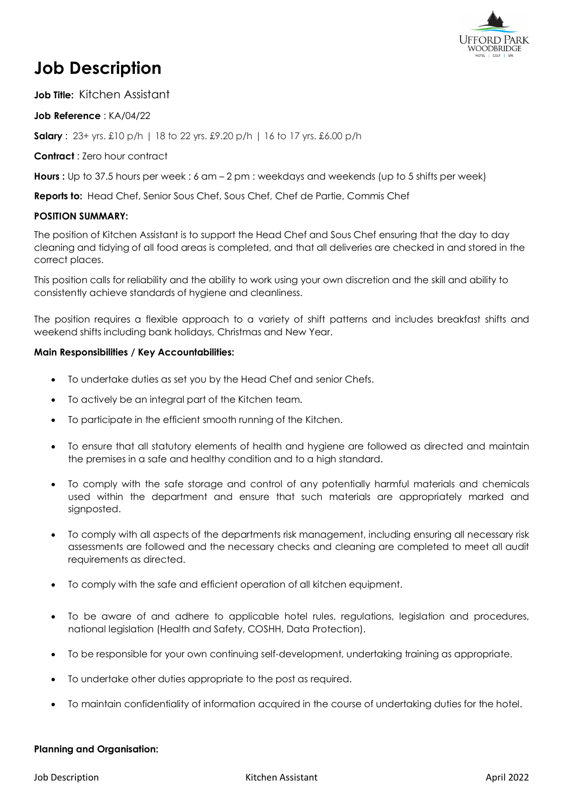

# **Job Description**

**Job Title:** Kitchen Assistant

**Job Reference** : KA/04/22

**Salary** : 23+ yrs. £10 p/h | 18 to 22 yrs. £9.20 p/h | 16 to 17 yrs. £6.00 p/h

**Contract** : Zero hour contract

**Hours :** Up to 37.5 hours per week : 6 am – 2 pm : weekdays and weekends (up to 5 shifts per week)

**Reports to:** Head Chef, Senior Sous Chef, Sous Chef, Chef de Partie, Commis Chef

## **POSITION SUMMARY:**

The position of Kitchen Assistant is to support the Head Chef and Sous Chef ensuring that the day to day cleaning and tidying of all food areas is completed, and that all deliveries are checked in and stored in the correct places.

This position calls for reliability and the ability to work using your own discretion and the skill and ability to consistently achieve standards of hygiene and cleanliness.

The position requires a flexible approach to a variety of shift patterns and includes breakfast shifts and weekend shifts including bank holidays, Christmas and New Year.

## **Main Responsibilities / Key Accountabilities:**

- To undertake duties as set you by the Head Chef and senior Chefs.
- To actively be an integral part of the Kitchen team.
- To participate in the efficient smooth running of the Kitchen.
- To ensure that all statutory elements of health and hygiene are followed as directed and maintain the premises in a safe and healthy condition and to a high standard.
- To comply with the safe storage and control of any potentially harmful materials and chemicals used within the department and ensure that such materials are appropriately marked and signposted.
- To comply with all aspects of the departments risk management, including ensuring all necessary risk assessments are followed and the necessary checks and cleaning are completed to meet all audit requirements as directed.
- To comply with the safe and efficient operation of all kitchen equipment.
- To be aware of and adhere to applicable hotel rules, regulations, legislation and procedures, national legislation (Health and Safety, COSHH, Data Protection).
- To be responsible for your own continuing self-development, undertaking training as appropriate.
- To undertake other duties appropriate to the post as required.
- To maintain confidentiality of information acquired in the course of undertaking duties for the hotel.

#### **Planning and Organisation:**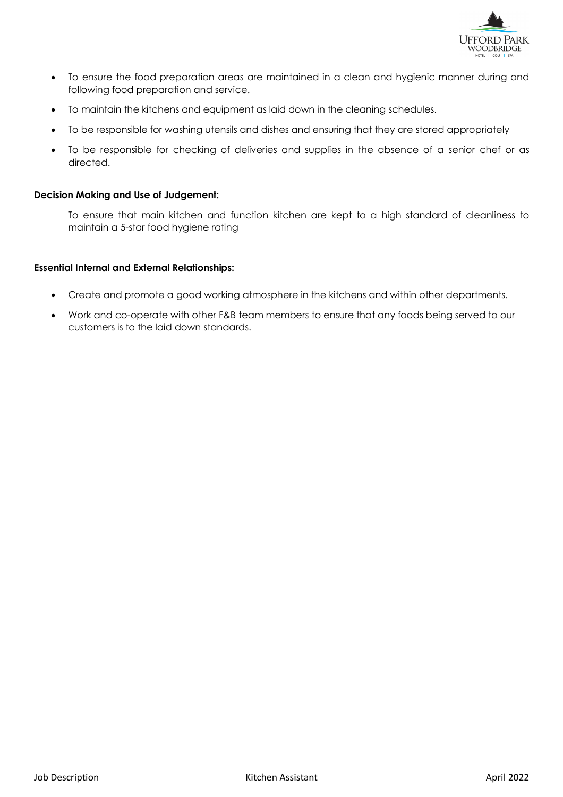

- To ensure the food preparation areas are maintained in a clean and hygienic manner during and following food preparation and service.
- To maintain the kitchens and equipment as laid down in the cleaning schedules.
- To be responsible for washing utensils and dishes and ensuring that they are stored appropriately
- To be responsible for checking of deliveries and supplies in the absence of a senior chef or as directed.

#### **Decision Making and Use of Judgement:**

To ensure that main kitchen and function kitchen are kept to a high standard of cleanliness to maintain a 5-star food hygiene rating

#### **Essential Internal and External Relationships:**

- Create and promote a good working atmosphere in the kitchens and within other departments.
- Work and co-operate with other F&B team members to ensure that any foods being served to our customers is to the laid down standards.